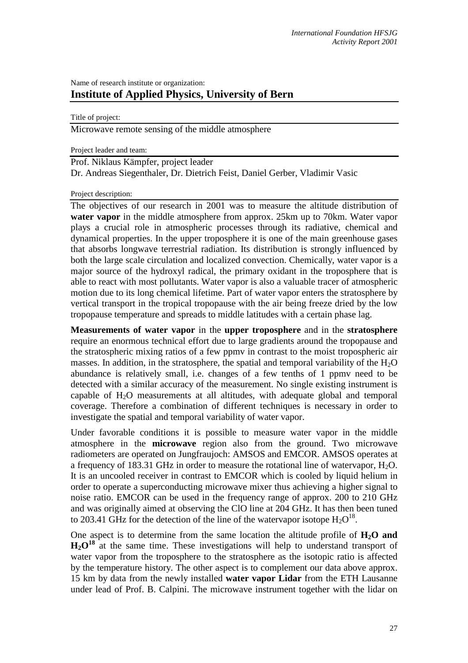## Name of research institute or organization: **Institute of Applied Physics, University of Bern**

Title of project:

Microwave remote sensing of the middle atmosphere

Project leader and team:

Prof. Niklaus Kämpfer, project leader Dr. Andreas Siegenthaler, Dr. Dietrich Feist, Daniel Gerber, Vladimir Vasic

## Project description:

The objectives of our research in 2001 was to measure the altitude distribution of **water vapor** in the middle atmosphere from approx. 25km up to 70km. Water vapor plays a crucial role in atmospheric processes through its radiative, chemical and dynamical properties. In the upper troposphere it is one of the main greenhouse gases that absorbs longwave terrestrial radiation. Its distribution is strongly influenced by both the large scale circulation and localized convection. Chemically, water vapor is a major source of the hydroxyl radical, the primary oxidant in the troposphere that is able to react with most pollutants. Water vapor is also a valuable tracer of atmospheric motion due to its long chemical lifetime. Part of water vapor enters the stratosphere by vertical transport in the tropical tropopause with the air being freeze dried by the low tropopause temperature and spreads to middle latitudes with a certain phase lag.

**Measurements of water vapor** in the **upper troposphere** and in the **stratosphere** require an enormous technical effort due to large gradients around the tropopause and the stratospheric mixing ratios of a few ppmv in contrast to the moist tropospheric air masses. In addition, in the stratosphere, the spatial and temporal variability of the  $H_2O$ abundance is relatively small, i.e. changes of a few tenths of 1 ppmv need to be detected with a similar accuracy of the measurement. No single existing instrument is capable of  $H_2O$  measurements at all altitudes, with adequate global and temporal coverage. Therefore a combination of different techniques is necessary in order to investigate the spatial and temporal variability of water vapor.

Under favorable conditions it is possible to measure water vapor in the middle atmosphere in the **microwave** region also from the ground. Two microwave radiometers are operated on Jungfraujoch: AMSOS and EMCOR. AMSOS operates at a frequency of 183.31 GHz in order to measure the rotational line of watervapor,  $H_2O$ . It is an uncooled receiver in contrast to EMCOR which is cooled by liquid helium in order to operate a superconducting microwave mixer thus achieving a higher signal to noise ratio. EMCOR can be used in the frequency range of approx. 200 to 210 GHz and was originally aimed at observing the ClO line at 204 GHz. It has then been tuned to 203.41 GHz for the detection of the line of the watervapor isotope  $H_2O^{18}$ .

One aspect is to determine from the same location the altitude profile of  $H_2O$  and **H2O<sup>18</sup>** at the same time. These investigations will help to understand transport of water vapor from the troposphere to the stratosphere as the isotopic ratio is affected by the temperature history. The other aspect is to complement our data above approx. 15 km by data from the newly installed **water vapor Lidar** from the ETH Lausanne under lead of Prof. B. Calpini. The microwave instrument together with the lidar on